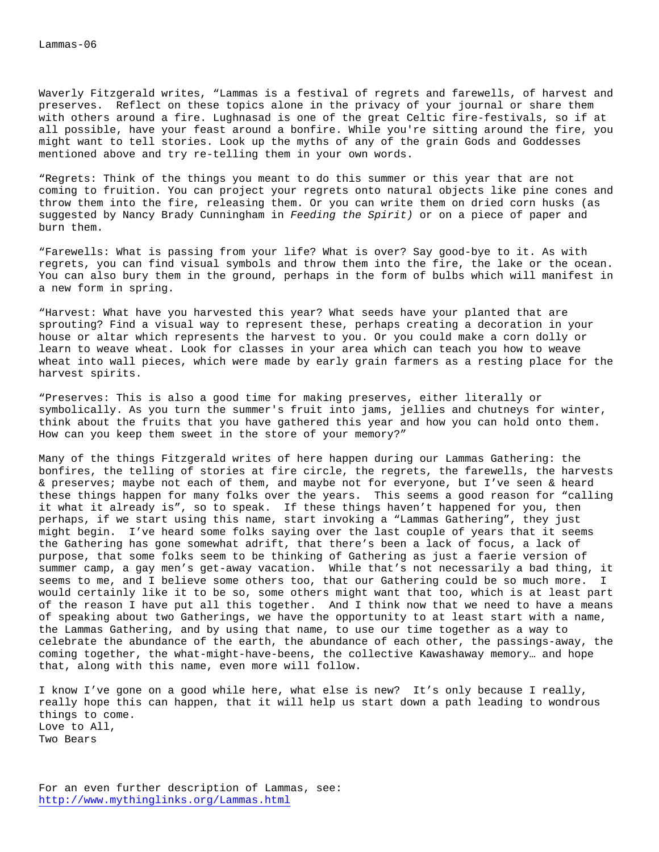Waverly Fitzgerald writes, "Lammas is a festival of regrets and farewells, of harvest and preserves. Reflect on these topics alone in the privacy of your journal or share them with others around a fire. Lughnasad is one of the great Celtic fire-festivals, so if at all possible, have your feast around a bonfire. While you're sitting around the fire, you might want to tell stories. Look up the myths of any of the grain Gods and Goddesses mentioned above and try re-telling them in your own words.

"Regrets: Think of the things you meant to do this summer or this year that are not coming to fruition. You can project your regrets onto natural objects like pine cones and throw them into the fire, releasing them. Or you can write them on dried corn husks (as suggested by Nancy Brady Cunningham in *Feeding the Spirit)* or on a piece of paper and burn them.

"Farewells: What is passing from your life? What is over? Say good-bye to it. As with regrets, you can find visual symbols and throw them into the fire, the lake or the ocean. You can also bury them in the ground, perhaps in the form of bulbs which will manifest in a new form in spring.

"Harvest: What have you harvested this year? What seeds have your planted that are sprouting? Find a visual way to represent these, perhaps creating a decoration in your house or altar which represents the harvest to you. Or you could make a corn dolly or learn to weave wheat. Look for classes in your area which can teach you how to weave wheat into wall pieces, which were made by early grain farmers as a resting place for the harvest spirits.

"Preserves: This is also a good time for making preserves, either literally or symbolically. As you turn the summer's fruit into jams, jellies and chutneys for winter, think about the fruits that you have gathered this year and how you can hold onto them. How can you keep them sweet in the store of your memory?"

Many of the things Fitzgerald writes of here happen during our Lammas Gathering: the bonfires, the telling of stories at fire circle, the regrets, the farewells, the harvests & preserves; maybe not each of them, and maybe not for everyone, but I've seen & heard these things happen for many folks over the years. This seems a good reason for "calling it what it already is", so to speak. If these things haven't happened for you, then perhaps, if we start using this name, start invoking a "Lammas Gathering", they just might begin. I've heard some folks saying over the last couple of years that it seems the Gathering has gone somewhat adrift, that there's been a lack of focus, a lack of purpose, that some folks seem to be thinking of Gathering as just a faerie version of summer camp, a gay men's get-away vacation. While that's not necessarily a bad thing, it seems to me, and I believe some others too, that our Gathering could be so much more. I would certainly like it to be so, some others might want that too, which is at least part of the reason I have put all this together. And I think now that we need to have a means of speaking about two Gatherings, we have the opportunity to at least start with a name, the Lammas Gathering, and by using that name, to use our time together as a way to celebrate the abundance of the earth, the abundance of each other, the passings-away, the coming together, the what-might-have-beens, the collective Kawashaway memory… and hope that, along with this name, even more will follow.

I know I've gone on a good while here, what else is new? It's only because I really, really hope this can happen, that it will help us start down a path leading to wondrous things to come. Love to All, Two Bears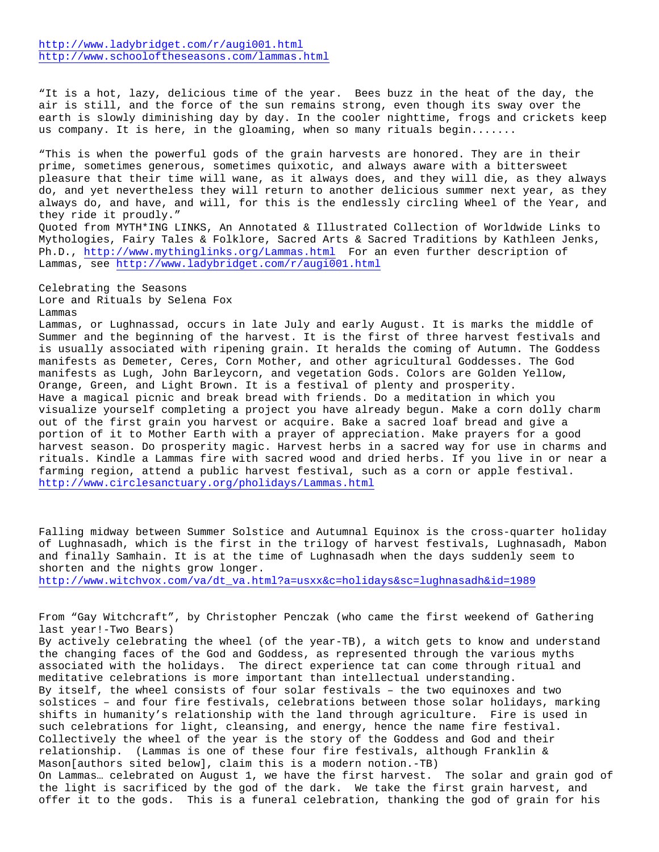"It is a hot, lazy, delicious time of the year. Bees buzz in the heat of the day, the air is still, and the force of the sun remains strong, even though its sway over the earth is slowly diminishing day by day. In the cooler nighttime, frogs and crickets keep us company. It is here, in the gloaming, when so many rituals begin.......

"This is when the powerful gods of the grain harvests are honored. They are in their prime, sometimes generous, sometimes quixotic, and always aware with a bittersweet pleasure that their time will wane, as it always does, and they will die, as they always do, and yet nevertheless they will return to another delicious summer next year, as they always do, and have, and will, for this is the endlessly circling Wheel of the Year, and they ride it proudly." Quoted from MYTH\*ING LINKS, An Annotated & Illustrated Collection of Worldwide Links to

Mythologies, Fairy Tales & Folklore, Sacred Arts & Sacred Traditions by Kathleen Jenks, Ph.D., http://www.mythinglinks.org/Lammas.html For an even further description of Lammas, see http://www.ladybridget.com/r/augi001.html

Celebrating the Seasons Lore and Rituals by Selena Fox Lammas

Lammas, or Lughnassad, occurs in late July and early August. It is marks the middle of Summer and the beginning of the harvest. It is the first of three harvest festivals and is usually associated with ripening grain. It heralds the coming of Autumn. The Goddess manifests as Demeter, Ceres, Corn Mother, and other agricultural Goddesses. The God manifests as Lugh, John Barleycorn, and vegetation Gods. Colors are Golden Yellow, Orange, Green, and Light Brown. It is a festival of plenty and prosperity. Have a magical picnic and break bread with friends. Do a meditation in which you visualize yourself completing a project you have already begun. Make a corn dolly charm out of the first grain you harvest or acquire. Bake a sacred loaf bread and give a portion of it to Mother Earth with a prayer of appreciation. Make prayers for a good harvest season. Do prosperity magic. Harvest herbs in a sacred way for use in charms and rituals. Kindle a Lammas fire with sacred wood and dried herbs. If you live in or near a farming region, attend a public harvest festival, such as a corn or apple festival. http://www.circlesanctuary.org/pholidays/Lammas.html

Falling midway between Summer Solstice and Autumnal Equinox is the cross-quarter holiday of Lughnasadh, which is the first in the trilogy of harvest festivals, Lughnasadh, Mabon and finally Samhain. It is at the time of Lughnasadh when the days suddenly seem to shorten and the nights grow longer. http://www.witchvox.com/va/dt\_va.html?a=usxx&c=holidays&sc=lughnasadh&id=1989

From "Gay Witchcraft", by Christopher Penczak (who came the first weekend of Gathering last year!-Two Bears) By actively celebrating the wheel (of the year-TB), a witch gets to know and understand

the changing faces of the God and Goddess, as represented through the various myths associated with the holidays. The direct experience tat can come through ritual and meditative celebrations is more important than intellectual understanding. By itself, the wheel consists of four solar festivals – the two equinoxes and two solstices – and four fire festivals, celebrations between those solar holidays, marking

shifts in humanity's relationship with the land through agriculture. Fire is used in such celebrations for light, cleansing, and energy, hence the name fire festival. Collectively the wheel of the year is the story of the Goddess and God and their relationship. (Lammas is one of these four fire festivals, although Franklin & Mason[authors sited below], claim this is a modern notion.-TB)

On Lammas… celebrated on August 1, we have the first harvest. The solar and grain god of the light is sacrificed by the god of the dark. We take the first grain harvest, and offer it to the gods. This is a funeral celebration, thanking the god of grain for his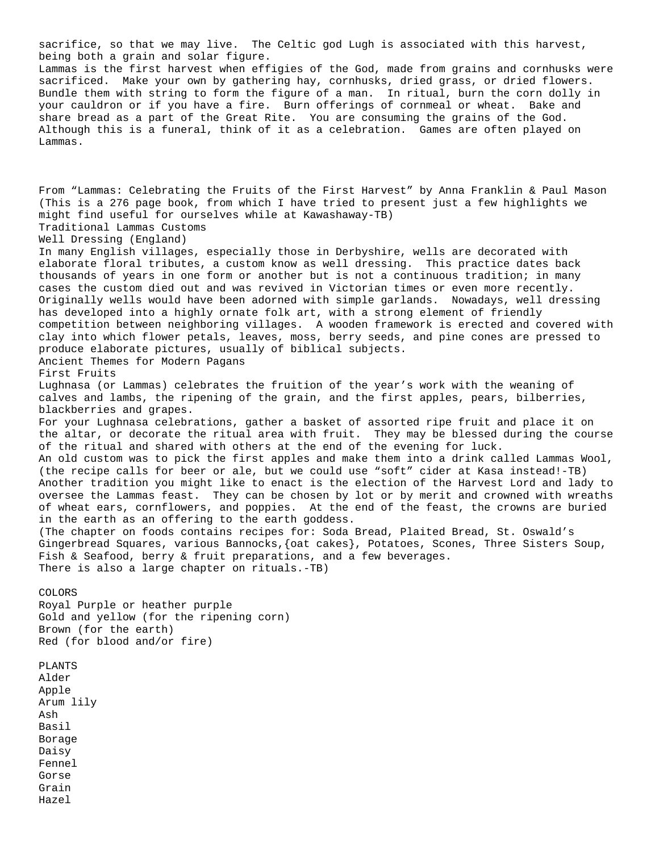sacrifice, so that we may live. The Celtic god Lugh is associated with this harvest, being both a grain and solar figure. Lammas is the first harvest when effigies of the God, made from grains and cornhusks were sacrificed. Make your own by gathering hay, cornhusks, dried grass, or dried flowers. Bundle them with string to form the figure of a man. In ritual, burn the corn dolly in your cauldron or if you have a fire. Burn offerings of cornmeal or wheat. Bake and share bread as a part of the Great Rite. You are consuming the grains of the God. Although this is a funeral, think of it as a celebration. Games are often played on Lammas. From "Lammas: Celebrating the Fruits of the First Harvest" by Anna Franklin & Paul Mason (This is a 276 page book, from which I have tried to present just a few highlights we might find useful for ourselves while at Kawashaway-TB) Traditional Lammas Customs Well Dressing (England) In many English villages, especially those in Derbyshire, wells are decorated with elaborate floral tributes, a custom know as well dressing. This practice dates back thousands of years in one form or another but is not a continuous tradition; in many cases the custom died out and was revived in Victorian times or even more recently. Originally wells would have been adorned with simple garlands. Nowadays, well dressing has developed into a highly ornate folk art, with a strong element of friendly competition between neighboring villages. A wooden framework is erected and covered with clay into which flower petals, leaves, moss, berry seeds, and pine cones are pressed to produce elaborate pictures, usually of biblical subjects. Ancient Themes for Modern Pagans First Fruits Lughnasa (or Lammas) celebrates the fruition of the year's work with the weaning of calves and lambs, the ripening of the grain, and the first apples, pears, bilberries, blackberries and grapes. For your Lughnasa celebrations, gather a basket of assorted ripe fruit and place it on the altar, or decorate the ritual area with fruit. They may be blessed during the course of the ritual and shared with others at the end of the evening for luck. An old custom was to pick the first apples and make them into a drink called Lammas Wool, (the recipe calls for beer or ale, but we could use "soft" cider at Kasa instead!-TB) Another tradition you might like to enact is the election of the Harvest Lord and lady to oversee the Lammas feast. They can be chosen by lot or by merit and crowned with wreaths of wheat ears, cornflowers, and poppies. At the end of the feast, the crowns are buried in the earth as an offering to the earth goddess. (The chapter on foods contains recipes for: Soda Bread, Plaited Bread, St. Oswald's Gingerbread Squares, various Bannocks,{oat cakes}, Potatoes, Scones, Three Sisters Soup, Fish & Seafood, berry & fruit preparations, and a few beverages. There is also a large chapter on rituals.-TB) COLORS Royal Purple or heather purple Gold and yellow (for the ripening corn) Brown (for the earth) Red (for blood and/or fire) PLANTS Alder Apple Arum lily Ash Basil Borage Daisy Fennel Gorse

Grain Hazel